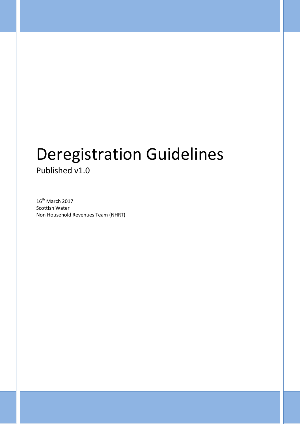# Deregistration Guidelines Published v1.0

 $16^{\text{th}}$  March 2017 Scottish Water Non Household Revenues Team (NHRT)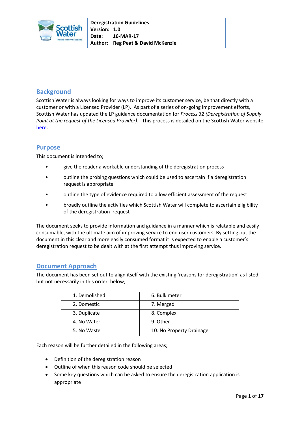

# **Background**

Scottish Water is always looking for ways to improve its customer service, be that directly with a customer or with a Licensed Provider (LP). As part of a series of on-going improvement efforts, Scottish Water has updated the LP guidance documentation for *Process 32 (Deregistration of Supply Point at the request of the Licensed Provider)*. This process is detailed on the Scottish Water website [here.](https://www.scottishwater.co.uk/business/our-services/wholesale-services/wholesale-services-to-licensed-providers/operational-code)

# **Purpose**

This document is intended to;

- give the reader a workable understanding of the deregistration process
- outline the probing questions which could be used to ascertain if a deregistration request is appropriate
- outline the type of evidence required to allow efficient assessment of the request
- broadly outline the activities which Scottish Water will complete to ascertain eligibility of the deregistration request

The document seeks to provide information and guidance in a manner which is relatable and easily consumable, with the ultimate aim of improving service to end user customers. By setting out the document in this clear and more easily consumed format it is expected to enable a customer's deregistration request to be dealt with at the first attempt thus improving service.

# **Document Approach**

The document has been set out to align itself with the existing 'reasons for deregistration' as listed, but not necessarily in this order, below;

| 1. Demolished | 6. Bulk meter            |
|---------------|--------------------------|
| 2. Domestic   | 7. Merged                |
| 3. Duplicate  | 8. Complex               |
| 4. No Water   | 9. Other                 |
| 5. No Waste   | 10. No Property Drainage |

Each reason will be further detailed in the following areas;

- Definition of the deregistration reason
- Outline of when this reason code should be selected
- Some key questions which can be asked to ensure the deregistration application is appropriate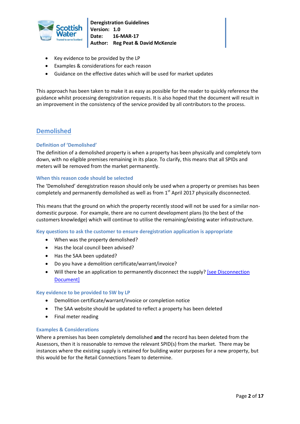

- Key evidence to be provided by the LP
- Examples & considerations for each reason
- Guidance on the effective dates which will be used for market updates

This approach has been taken to make it as easy as possible for the reader to quickly reference the guidance whilst processing deregistration requests. It is also hoped that the document will result in an improvement in the consistency of the service provided by all contributors to the process.

# **Demolished**

# **Definition of 'Demolished'**

The definition of a demolished property is when a property has been physically and completely torn down, with no eligible premises remaining in its place. To clarify, this means that all SPIDs and meters will be removed from the market permanently.

# **When this reason code should be selected**

The 'Demolished' deregistration reason should only be used when a property or premises has been completely and permanently demolished as well as from 1<sup>st</sup> April 2017 physically disconnected.

This means that the ground on which the property recently stood will not be used for a similar nondomestic purpose. For example, there are no current development plans (to the best of the customers knowledge) which will continue to utilise the remaining/existing water infrastructure.

**Key questions to ask the customer to ensure deregistration application is appropriate**

- When was the property demolished?
- Has the local council been advised?
- Has the SAA been updated?
- Do you have a demolition certificate/warrant/invoice?
- Will there be an application to permanently disconnect the supply? [see Disconnection] [Document\]](http://www.watercommission.co.uk/view_Disconnections.aspx)

#### **Key evidence to be provided to SW by LP**

- Demolition certificate/warrant/invoice or completion notice
- The SAA website should be updated to reflect a property has been deleted
- Final meter reading

#### **Examples & Considerations**

Where a premises has been completely demolished **and** the record has been deleted from the Assessors, then it is reasonable to remove the relevant SPID(s) from the market. There may be instances where the existing supply is retained for building water purposes for a new property, but this would be for the Retail Connections Team to determine.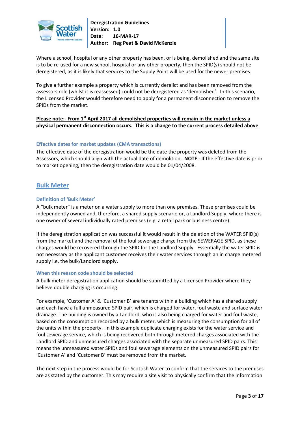

Where a school, hospital or any other property has been, or is being, demolished and the same site is to be re-used for a new school, hospital or any other property, then the SPID(s) should not be deregistered, as it is likely that services to the Supply Point will be used for the newer premises.

To give a further example a property which is currently derelict and has been removed from the assessors role (whilst it is reassessed) could not be deregistered as 'demolished'. In this scenario, the Licensed Provider would therefore need to apply for a permanent disconnection to remove the SPIDs from the market.

# **Please note:- From 1st April 2017 all demolished properties will remain in the market unless a physical permanent disconnection occurs. This is a change to the current process detailed above**

# **Effective dates for market updates (CMA transactions)**

The effective date of the deregistration would be the date the property was deleted from the Assessors, which should align with the actual date of demolition. **NOTE** - If the effective date is prior to market opening, then the deregistration date would be 01/04/2008.

# **Bulk Meter**

# **Definition of 'Bulk Meter'**

A "bulk meter" is a meter on a water supply to more than one premises. These premises could be independently owned and, therefore, a shared supply scenario or, a Landlord Supply, where there is one owner of several individually rated premises (e.g. a retail park or business centre).

If the deregistration application was successful it would result in the deletion of the WATER SPID(s) from the market and the removal of the foul sewerage charge from the SEWERAGE SPID, as these charges would be recovered through the SPID for the Landlord Supply. Essentially the water SPID is not necessary as the applicant customer receives their water services through an in charge metered supply i.e. the bulk/Landlord supply.

# **When this reason code should be selected**

A bulk meter deregistration application should be submitted by a Licensed Provider where they believe double charging is occurring.

For example, 'Customer A' & 'Customer B' are tenants within a building which has a shared supply and each have a full unmeasured SPID pair, which is charged for water, foul waste and surface water drainage. The building is owned by a Landlord, who is also being charged for water and foul waste, based on the consumption recorded by a bulk meter, which is measuring the consumption for all of the units within the property. In this example duplicate charging exists for the water service and foul sewerage service, which is being recovered both through metered charges associated with the Landlord SPID and unmeasured charges associated with the separate unmeasured SPID pairs. This means the unmeasured water SPIDs and foul sewerage elements on the unmeasured SPID pairs for 'Customer A' and 'Customer B' must be removed from the market.

The next step in the process would be for Scottish Water to confirm that the services to the premises are as stated by the customer. This may require a site visit to physically confirm that the information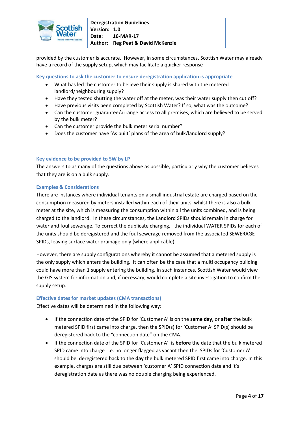

provided by the customer is accurate. However, in some circumstances, Scottish Water may already have a record of the supply setup, which may facilitate a quicker response

**Key questions to ask the customer to ensure deregistration application is appropriate**

- What has led the customer to believe their supply is shared with the metered landlord/neighbouring supply?
- Have they tested shutting the water off at the meter, was their water supply then cut off?
- Have previous visits been completed by Scottish Water? If so, what was the outcome?
- Can the customer guarantee/arrange access to all premises, which are believed to be served by the bulk meter?
- Can the customer provide the bulk meter serial number?
- Does the customer have 'As built' plans of the area of bulk/landlord supply?

# **Key evidence to be provided to SW by LP**

The answers to as many of the questions above as possible, particularly why the customer believes that they are is on a bulk supply.

# **Examples & Considerations**

There are instances where individual tenants on a small industrial estate are charged based on the consumption measured by meters installed within each of their units, whilst there is also a bulk meter at the site, which is measuring the consumption within all the units combined, and is being charged to the landlord. In these circumstances, the Landlord SPIDs should remain in charge for water and foul sewerage. To correct the duplicate charging, the individual WATER SPIDs for each of the units should be deregistered and the foul sewerage removed from the associated SEWERAGE SPIDs, leaving surface water drainage only (where applicable).

However, there are supply configurations whereby it cannot be assumed that a metered supply is the only supply which enters the building. It can often be the case that a multi occupancy building could have more than 1 supply entering the building. In such instances, Scottish Water would view the GIS system for information and, if necessary, would complete a site investigation to confirm the supply setup.

# **Effective dates for market updates (CMA transactions)**

Effective dates will be determined in the following way:

- If the connection date of the SPID for 'Customer A' is on the **same day,** or **after** the bulk metered SPID first came into charge, then the SPID(s) for 'Customer A' SPID(s) should be deregistered back to the "connection date" on the CMA.
- If the connection date of the SPID for 'Customer A' is **before** the date that the bulk metered SPID came into charge i.e. no longer flagged as vacant then the SPIDs for 'Customer A' should be deregistered back to the **day** the bulk metered SPID first came into charge. In this example, charges are still due between 'customer A' SPID connection date and it's deregistration date as there was no double charging being experienced.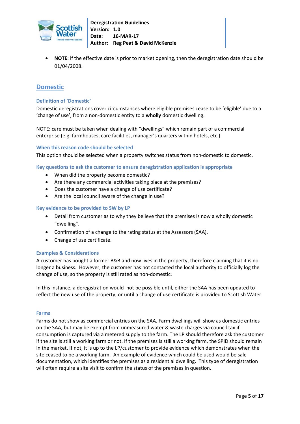

 **NOTE**: if the effective date is prior to market opening, then the deregistration date should be 01/04/2008.

# **Domestic**

# **Definition of 'Domestic'**

Domestic deregistrations cover circumstances where eligible premises cease to be 'eligible' due to a 'change of use', from a non-domestic entity to a **wholly** domestic dwelling.

NOTE: care must be taken when dealing with "dwellings" which remain part of a commercial enterprise (e.g. farmhouses, care facilities, manager's quarters within hotels, etc.).

#### **When this reason code should be selected**

This option should be selected when a property switches status from non-domestic to domestic.

**Key questions to ask the customer to ensure deregistration application is appropriate**

- When did the property become domestic?
- Are there any commercial activities taking place at the premises?
- Does the customer have a change of use certificate?
- Are the local council aware of the change in use?

#### **Key evidence to be provided to SW by LP**

- Detail from customer as to why they believe that the premises is now a wholly domestic "dwelling".
- Confirmation of a change to the rating status at the Assessors (SAA).
- Change of use certificate.

#### **Examples & Considerations**

A customer has bought a former B&B and now lives in the property, therefore claiming that it is no longer a business. However, the customer has not contacted the local authority to officially log the change of use, so the property is still rated as non-domestic.

In this instance, a deregistration would not be possible until, either the SAA has been updated to reflect the new use of the property, or until a change of use certificate is provided to Scottish Water.

#### **Farms**

Farms do not show as commercial entries on the SAA. Farm dwellings will show as domestic entries on the SAA, but may be exempt from unmeasured water & waste charges via council tax if consumption is captured via a metered supply to the farm. The LP should therefore ask the customer if the site is still a working farm or not. If the premises is still a working farm, the SPID should remain in the market. If not, it is up to the LP/customer to provide evidence which demonstrates when the site ceased to be a working farm. An example of evidence which could be used would be sale documentation, which identifies the premises as a residential dwelling. This type of deregistration will often require a site visit to confirm the status of the premises in question.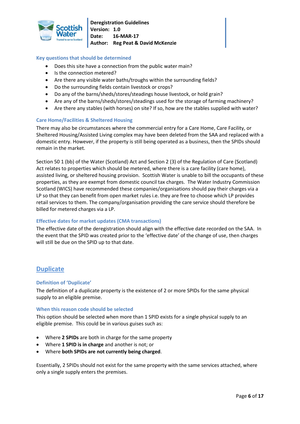

# **Key questions that should be determined**

- Does this site have a connection from the public water main?
- Is the connection metered?
- Are there any visible water baths/troughs within the surrounding fields?
- Do the surrounding fields contain livestock or crops?
- Do any of the barns/sheds/stores/steadings house livestock, or hold grain?
- Are any of the barns/sheds/stores/steadings used for the storage of farming machinery?
- Are there any stables (with horses) on site? If so, how are the stables supplied with water?

# **Care Home/Facilities & Sheltered Housing**

There may also be circumstances where the commercial entry for a Care Home, Care Facility, or Sheltered Housing/Assisted Living complex may have been deleted from the SAA and replaced with a domestic entry. However, if the property is still being operated as a business, then the SPIDs should remain in the market.

Section 50 1 (bb) of the Water (Scotland) Act and Section 2 (3) of the Regulation of Care (Scotland) Act relates to properties which should be metered, where there is a care facility (care home), assisted living, or sheltered housing provision. Scottish Water is unable to bill the occupants of these properties, as they are exempt from domestic council tax charges. The Water Industry Commission Scotland (WICS) have recommended these companies/organisations should pay their charges via a LP so that they can benefit from open market rules i.e. they are free to choose which LP provides retail services to them. The company/organisation providing the care service should therefore be billed for metered charges via a LP.

# **Effective dates for market updates (CMA transactions)**

The effective date of the deregistration should align with the effective date recorded on the SAA. In the event that the SPID was created prior to the 'effective date' of the change of use, then charges will still be due on the SPID up to that date.

# **Duplicate**

# **Definition of 'Duplicate'**

The definition of a duplicate property is the existence of 2 or more SPIDs for the same physical supply to an eligible premise.

#### **When this reason code should be selected**

This option should be selected when more than 1 SPID exists for a single physical supply to an eligible premise. This could be in various guises such as:

- Where **2 SPIDs** are both in charge for the same property
- Where **1 SPID is in charge** and another is not; or
- Where **both SPIDs are not currently being charged**.

Essentially, 2 SPIDs should not exist for the same property with the same services attached, where only a single supply enters the premises.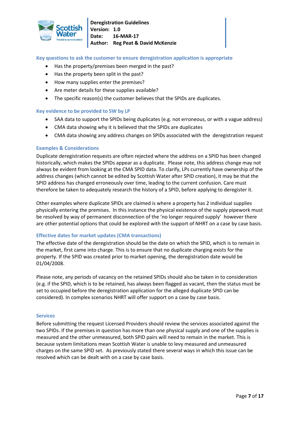

**Key questions to ask the customer to ensure deregistration application is appropriate**

- Has the property/premises been merged in the past?
- Has the property been split in the past?
- How many supplies enter the premises?
- Are meter details for these supplies available?
- The specific reason(s) the customer believes that the SPIDs are duplicates.

# **Key evidence to be provided to SW by LP**

- SAA data to support the SPIDs being duplicates (e.g. not erroneous, or with a vague address)
- CMA data showing why it is believed that the SPIDs are duplicates
- CMA data showing any address changes on SPIDs associated with the deregistration request

#### **Examples & Considerations**

Duplicate deregistration requests are often rejected where the address on a SPID has been changed historically, which makes the SPIDs appear as a duplicate. Please note, this address change may not always be evident from looking at the CMA SPID data. To clarify, LPs currently have ownership of the address changes (which cannot be edited by Scottish Water after SPID creation), it may be that the SPID address has changed erroneously over time, leading to the current confusion. Care must therefore be taken to adequately research the history of a SPID, before applying to deregister it.

Other examples where duplicate SPIDs are claimed is where a property has 2 individual supplies physically entering the premises. In this instance the physical existence of the supply pipework must be resolved by way of permanent disconnection of the 'no longer required supply' however there are other potential options that could be explored with the support of NHRT on a case by case basis.

# **Effective dates for market updates (CMA transactions)**

The effective date of the deregistration should be the date on which the SPID, which is to remain in the market, first came into charge. This is to ensure that no duplicate charging exists for the property. If the SPID was created prior to market opening, the deregistration date would be 01/04/2008.

Please note, any periods of vacancy on the retained SPIDs should also be taken in to consideration (e.g. if the SPID, which is to be retained, has always been flagged as vacant, then the status must be set to occupied before the deregistration application for the alleged duplicate SPID can be considered). In complex scenarios NHRT will offer support on a case by case basis.

#### **Services**

Before submitting the request Licensed Providers should review the services associated against the two SPIDs. If the premises in question has more than one physical supply and one of the supplies is measured and the other unmeasured, both SPID pairs will need to remain in the market. This is because system limitations mean Scottish Water is unable to levy measured and unmeasured charges on the same SPID set. As previously stated there several ways in which this issue can be resolved which can be dealt with on a case by case basis.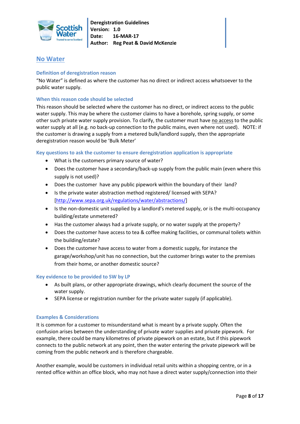

# **No Water**

# **Definition of deregistration reason**

"No Water" is defined as where the customer has no direct or indirect access whatsoever to the public water supply.

# **When this reason code should be selected**

This reason should be selected where the customer has no direct, or indirect access to the public water supply. This may be where the customer claims to have a borehole, spring supply, or some other such private water supply provision. To clarify, the customer must have no access to the public water supply at all (e.g. no back-up connection to the public mains, even where not used). NOTE: if the customer is drawing a supply from a metered bulk/landlord supply, then the appropriate deregistration reason would be 'Bulk Meter'

#### **Key questions to ask the customer to ensure deregistration application is appropriate**

- What is the customers primary source of water?
- Does the customer have a secondary/back-up supply from the public main (even where this supply is not used)?
- Does the customer have any public pipework within the boundary of their land?
- Is the private water abstraction method registered/ licensed with SEPA? [\[http://www.sepa.org.uk/regulations/water/abstractions/\]](http://www.sepa.org.uk/regulations/water/abstractions/)
- Is the non-domestic unit supplied by a landlord's metered supply, or is the multi-occupancy building/estate unmetered?
- Has the customer always had a private supply, or no water supply at the property?
- Does the customer have access to tea & coffee making facilities, or communal toilets within the building/estate?
- Does the customer have access to water from a domestic supply, for instance the garage/workshop/unit has no connection, but the customer brings water to the premises from their home, or another domestic source?

# **Key evidence to be provided to SW by LP**

- As built plans, or other appropriate drawings, which clearly document the source of the water supply.
- SEPA license or registration number for the private water supply (if applicable).

# **Examples & Considerations**

It is common for a customer to misunderstand what is meant by a private supply. Often the confusion arises between the understanding of private water supplies and private pipework. For example, there could be many kilometres of private pipework on an estate, but if this pipework connects to the public network at any point, then the water entering the private pipework will be coming from the public network and is therefore chargeable.

Another example, would be customers in individual retail units within a shopping centre, or in a rented office within an office block, who may not have a direct water supply/connection into their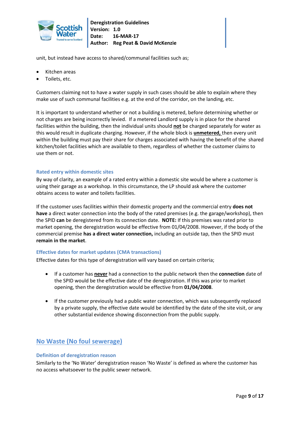

unit, but instead have access to shared/communal facilities such as;

- Kitchen areas
- Toilets, etc.

Customers claiming not to have a water supply in such cases should be able to explain where they make use of such communal facilities e.g. at the end of the corridor, on the landing, etc.

It is important to understand whether or not a building is metered, before determining whether or not charges are being incorrectly levied. If a metered Landlord supply is in place for the shared facilities within the building, then the individual units should **not** be charged separately for water as this would result in duplicate charging. However, if the whole block is **unmetered,** then every unit within the building must pay their share for charges associated with having the benefit of the shared kitchen/toilet facilities which are available to them, regardless of whether the customer claims to use them or not.

# **Rated entry within domestic sites**

By way of clarity, an example of a rated entry within a domestic site would be where a customer is using their garage as a workshop. In this circumstance, the LP should ask where the customer obtains access to water and toilets facilities.

If the customer uses facilities within their domestic property and the commercial entry **does not have** a direct water connection into the body of the rated premises (e.g. the garage/workshop), then the SPID **can** be deregistered from its connection date. **NOTE:** If this premises was rated prior to market opening, the deregistration would be effective from 01/04/2008. However, if the body of the commercial premise **has a direct water connection,** including an outside tap, then the SPID must **remain in the market**.

# **Effective dates for market updates (CMA transactions)**

Effective dates for this type of deregistration will vary based on certain criteria;

- If a customer has **never** had a connection to the public network then the **connection** date of the SPID would be the effective date of the deregistration. If this was prior to market opening, then the deregistration would be effective from **01/04/2008**.
- If the customer previously had a public water connection, which was subsequently replaced by a private supply, the effective date would be identified by the date of the site visit, or any other substantial evidence showing disconnection from the public supply.

# **No Waste (No foul sewerage)**

#### **Definition of deregistration reason**

Similarly to the 'No Water' deregistration reason 'No Waste' is defined as where the customer has no access whatsoever to the public sewer network.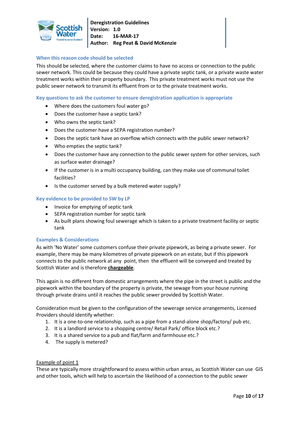

# **When this reason code should be selected**

This should be selected, where the customer claims to have no access or connection to the public sewer network. This could be because they could have a private septic tank, or a private waste water treatment works within their property boundary. This private treatment works must not use the public sewer network to transmit its effluent from or to the private treatment works.

## **Key questions to ask the customer to ensure deregistration application is appropriate**

- Where does the customers foul water go?
- Does the customer have a septic tank?
- Who owns the septic tank?
- Does the customer have a SEPA registration number?
- Does the septic tank have an overflow which connects with the public sewer network?
- Who empties the septic tank?
- Does the customer have any connection to the public sewer system for other services, such as surface water drainage?
- If the customer is in a multi occupancy building, can they make use of communal toilet facilities?
- Is the customer served by a bulk metered water supply?

#### **Key evidence to be provided to SW by LP**

- Invoice for emptying of septic tank
- SEPA registration number for septic tank
- As built plans showing foul sewerage which is taken to a private treatment facility or septic tank

#### **Examples & Considerations**

As with 'No Water' some customers confuse their private pipework, as being a private sewer. For example, there may be many kilometres of private pipework on an estate, but if this pipework connects to the public network at any point, then the effluent will be conveyed and treated by Scottish Water and is therefore **chargeable**.

This again is no different from domestic arrangements where the pipe in the street is public and the pipework within the boundary of the property is private, the sewage from your house running through private drains until it reaches the public sewer provided by Scottish Water.

Consideration must be given to the configuration of the sewerage service arrangements, Licensed Providers should identify whether:

- 1. It is a one-to-one relationship, such as a pipe from a stand-alone shop/factory/ pub etc.
- 2. It is a landlord service to a shopping centre/ Retail Park/ office block etc.?
- 3. It is a shared service to a pub and flat/farm and farmhouse etc.?
- 4. The supply is metered?

#### Example of point 1

These are typically more straightforward to assess within urban areas, as Scottish Water can use GIS and other tools, which will help to ascertain the likelihood of a connection to the public sewer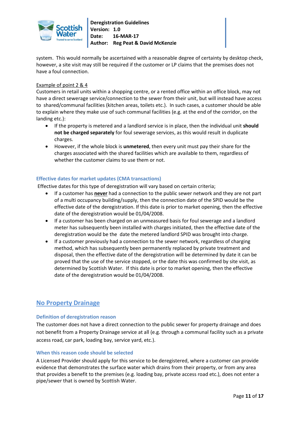

system. This would normally be ascertained with a reasonable degree of certainty by desktop check, however, a site visit may still be required if the customer or LP claims that the premises does not have a foul connection.

# Example of point 2 & 4

Customers in retail units within a shopping centre, or a rented office within an office block, may not have a direct sewerage service/connection to the sewer from their unit, but will instead have access to shared/communal facilities (kitchen areas, toilets etc.). In such cases, a customer should be able to explain where they make use of such communal facilities (e.g. at the end of the corridor, on the landing etc.):

- If the property is metered and a landlord service is in place, then the individual unit **should not be charged separately** for foul sewerage services, as this would result in duplicate charges.
- However, if the whole block is **unmetered**, then every unit must pay their share for the charges associated with the shared facilities which are available to them, regardless of whether the customer claims to use them or not.

# **Effective dates for market updates (CMA transactions)**

Effective dates for this type of deregistration will vary based on certain criteria;

- If a customer has **never** had a connection to the public sewer network and they are not part of a multi occupancy building/supply, then the connection date of the SPID would be the effective date of the deregistration. If this date is prior to market opening, then the effective date of the deregistration would be 01/04/2008.
- If a customer has been charged on an unmeasured basis for foul sewerage and a landlord meter has subsequently been installed with charges initiated, then the effective date of the deregistration would be the date the metered landlord SPID was brought into charge.
- If a customer previously had a connection to the sewer network, regardless of charging method, which has subsequently been permanently replaced by private treatment and disposal, then the effective date of the deregistration will be determined by date it can be proved that the use of the service stopped, or the date this was confirmed by site visit, as determined by Scottish Water. If this date is prior to market opening, then the effective date of the deregistration would be 01/04/2008.

# **No Property Drainage**

# **Definition of deregistration reason**

The customer does not have a direct connection to the public sewer for property drainage and does not benefit from a Property Drainage service at all (e.g. through a communal facility such as a private access road, car park, loading bay, service yard, etc.).

# **When this reason code should be selected**

A Licensed Provider should apply for this service to be deregistered, where a customer can provide evidence that demonstrates the surface water which drains from their property, or from any area that provides a benefit to the premises (e.g. loading bay, private access road etc.), does not enter a pipe/sewer that is owned by Scottish Water.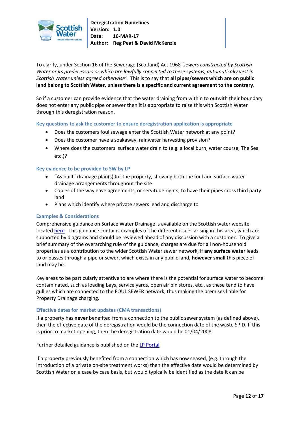

To clarify, under Section 16 of the Sewerage (Scotland) Act 1968 *'sewers constructed by Scottish Water or its predecessors or which are lawfully connected to these systems, automatically vest in Scottish Water unless agreed otherwise'.* This is to say that **all pipes/sewers which are on public land belong to Scottish Water, unless there is a specific and current agreement to the contrary**.

So if a customer can provide evidence that the water draining from within to outwith their boundary does not enter any public pipe or sewer then it is appropriate to raise this with Scottish Water through this deregistration reason.

**Key questions to ask the customer to ensure deregistration application is appropriate**

- Does the customers foul sewage enter the Scottish Water network at any point?
- Does the customer have a soakaway, rainwater harvesting provision?
- Where does the customers surface water drain to (e.g. a local burn, water course, The Sea etc.)?

# **Key evidence to be provided to SW by LP**

- "As built" drainage plan(s) for the property, showing both the foul and surface water drainage arrangements throughout the site
- Copies of the wayleave agreements, or servitude rights, to have their pipes cross third party land
- Plans which identify where private sewers lead and discharge to

# **Examples & Considerations**

Comprehensive guidance on Surface Water Drainage is available on the Scottish water website locate[d here.](https://www.scottishwater.co.uk/assets/business/files/our%20services/wholesale/sw_guide_surface_water_drainage.pdf) This guidance contains examples of the different issues arising in this area, which are supported by diagrams and should be reviewed ahead of any discussion with a customer. To give a brief summary of the overarching rule of the guidance, charges are due for all non-household properties as a contribution to the wider Scottish Water sewer network, if **any surface water** leads to or passes through a pipe or sewer, which exists in any public land, **however small** this piece of land may be.

Key areas to be particularly attentive to are where there is the potential for surface water to become contaminated, such as loading bays, service yards, open air bin stores, etc., as these tend to have gullies which are connected to the FOUL SEWER network, thus making the premises liable for Property Drainage charging.

# **Effective dates for market updates (CMA transactions)**

If a property has **never** benefited from a connection to the public sewer system (as defined above), then the effective date of the deregistration would be the connection date of the waste SPID. If this is prior to market opening, then the deregistration date would be 01/04/2008.

Further detailed guidance is published on the [LP Portal](https://www.scottishwater.co.uk/business/licensed-provider-portal/guide-to-services/supply-point-registration/deregistration)

If a property previously benefited from a connection which has now ceased, (e.g. through the introduction of a private on-site treatment works) then the effective date would be determined by Scottish Water on a case by case basis, but would typically be identified as the date it can be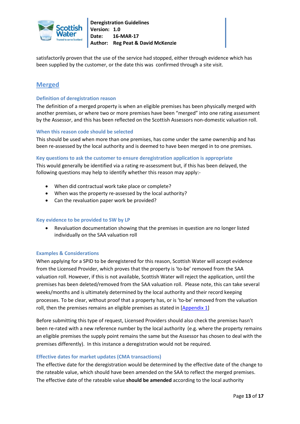

satisfactorily proven that the use of the service had stopped, either through evidence which has been supplied by the customer, or the date this was confirmed through a site visit.

# **Merged**

# **Definition of deregistration reason**

The definition of a merged property is when an eligible premises has been physically merged with another premises, or where two or more premises have been "merged" into one rating assessment by the Assessor, and this has been reflected on the Scottish Assessors non-domestic valuation roll.

#### **When this reason code should be selected**

This should be used when more than one premises, has come under the same ownership and has been re-assessed by the local authority and is deemed to have been merged in to one premises.

#### **Key questions to ask the customer to ensure deregistration application is appropriate**

This would generally be identified via a rating re-assessment but, if this has been delayed, the following questions may help to identify whether this reason may apply:-

- When did contractual work take place or complete?
- When was the property re-assessed by the local authority?
- Can the revaluation paper work be provided?

# **Key evidence to be provided to SW by LP**

 Revaluation documentation showing that the premises in question are no longer listed individually on the SAA valuation roll

# **Examples & Considerations**

When applying for a SPID to be deregistered for this reason, Scottish Water will accept evidence from the Licensed Provider, which proves that the property is 'to-be' removed from the SAA valuation roll. However, if this is not available, Scottish Water will reject the application, until the premises has been deleted/removed from the SAA valuation roll. Please note, this can take several weeks/months and is ultimately determined by the local authority and their record keeping processes. To be clear, without proof that a property has, or is 'to-be' removed from the valuation roll, then the premises remains an eligible premises as stated in [\[Appendix 1\]](#page-15-0)

Before submitting this type of request, Licensed Providers should also check the premises hasn't been re-rated with a new reference number by the local authority (e.g. where the property remains an eligible premises the supply point remains the same but the Assessor has chosen to deal with the premises differently). In this instance a deregistration would not be required.

# **Effective dates for market updates (CMA transactions)**

The effective date for the deregistration would be determined by the effective date of the change to the rateable value, which should have been amended on the SAA to reflect the merged premises. The effective date of the rateable value **should be amended** according to the local authority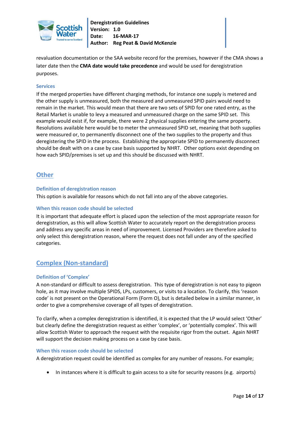

revaluation documentation or the SAA website record for the premises, however if the CMA shows a later date then the **CMA date would take precedence** and would be used for deregistration purposes.

## **Services**

If the merged properties have different charging methods, for instance one supply is metered and the other supply is unmeasured, both the measured and unmeasured SPID pairs would need to remain in the market. This would mean that there are two sets of SPID for one rated entry, as the Retail Market is unable to levy a measured and unmeasured charge on the same SPID set. This example would exist if, for example, there were 2 physical supplies entering the same property. Resolutions available here would be to meter the unmeasured SPID set, meaning that both supplies were measured or, to permanently disconnect one of the two supplies to the property and thus deregistering the SPID in the process. Establishing the appropriate SPID to permanently disconnect should be dealt with on a case by case basis supported by NHRT. Other options exist depending on how each SPID/premises is set up and this should be discussed with NHRT.

# **Other**

# **Definition of deregistration reason**

This option is available for reasons which do not fall into any of the above categories.

#### **When this reason code should be selected**

It is important that adequate effort is placed upon the selection of the most appropriate reason for deregistration, as this will allow Scottish Water to accurately report on the deregistration process and address any specific areas in need of improvement. Licensed Providers are therefore asked to only select this deregistration reason, where the request does not fall under any of the specified categories.

# **Complex (Non-standard)**

# **Definition of 'Complex'**

A non-standard or difficult to assess deregistration. This type of deregistration is not easy to pigeon hole, as it may involve multiple SPIDS, LPs, customers, or visits to a location. To clarify, this 'reason code' is not present on the Operational Form (Form O), but is detailed below in a similar manner, in order to give a comprehensive coverage of all types of deregistration.

To clarify, when a complex deregistration is identified, it is expected that the LP would select 'Other' but clearly define the deregistration request as either 'complex', or 'potentially complex'. This will allow Scottish Water to approach the request with the requisite rigor from the outset. Again NHRT will support the decision making process on a case by case basis.

#### **When this reason code should be selected**

A deregistration request could be identified as complex for any number of reasons. For example;

In instances where it is difficult to gain access to a site for security reasons (e.g. airports)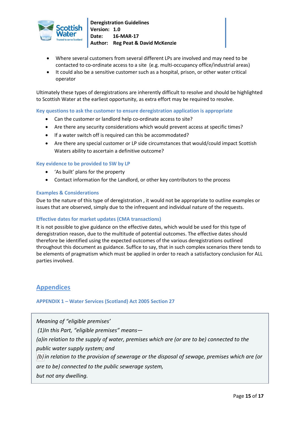

- Where several customers from several different LPs are involved and may need to be contacted to co-ordinate access to a site (e.g. multi-occupancy office/industrial areas)
- It could also be a sensitive customer such as a hospital, prison, or other water critical operator

Ultimately these types of deregistrations are inherently difficult to resolve and should be highlighted to Scottish Water at the earliest opportunity, as extra effort may be required to resolve.

**Key questions to ask the customer to ensure deregistration application is appropriate**

- Can the customer or landlord help co-ordinate access to site?
- Are there any security considerations which would prevent access at specific times?
- If a water switch off is required can this be accommodated?
- Are there any special customer or LP side circumstances that would/could impact Scottish Waters ability to ascertain a definitive outcome?

# **Key evidence to be provided to SW by LP**

- 'As built' plans for the property
- Contact information for the Landlord, or other key contributors to the process

# **Examples & Considerations**

Due to the nature of this type of deregistration , it would not be appropriate to outline examples or issues that are observed, simply due to the infrequent and individual nature of the requests.

# **Effective dates for market updates (CMA transactions)**

It is not possible to give guidance on the effective dates, which would be used for this type of deregistration reason, due to the multitude of potential outcomes. The effective dates should therefore be identified using the expected outcomes of the various deregistrations outlined throughout this document as guidance. Suffice to say, that in such complex scenarios there tends to be elements of pragmatism which must be applied in order to reach a satisfactory conclusion for ALL parties involved.

# **Appendices**

<span id="page-15-0"></span>**APPENDIX 1 – Water Services (Scotland) Act 2005 Section 27**

*Meaning of "eligible premises' (1)In this Part, "eligible premises" means— (a)in relation to the supply of water, premises which are (or are to be) connected to the public water supply system; and (b)in relation to the provision of sewerage or the disposal of sewage, premises which are (or are to be) connected to the public sewerage system, but not any dwelling.*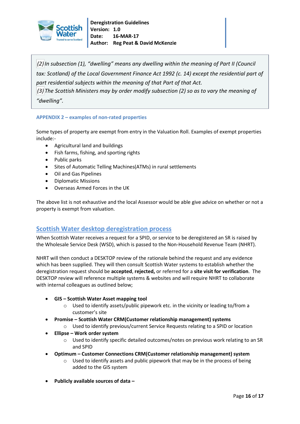

*(2)In subsection (1), "dwelling" means any dwelling within the meaning of Part II (Council tax: Scotland) of the Local Government Finance Act 1992 (c. 14) except the residential part of part residential subjects within the meaning of that Part of that Act. (3) The Scottish Ministers may by order modify subsection (2) so as to vary the meaning of "dwelling".*

# **APPENDIX 2 – examples of non-rated properties**

Some types of property are exempt from entry in the Valuation Roll. Examples of exempt properties include:-

- Agricultural land and buildings
- Fish farms, fishing, and sporting rights
- Public parks
- Sites of Automatic Telling Machines(ATMs) in rural settlements
- Oil and Gas Pipelines
- Diplomatic Missions
- Overseas Armed Forces in the UK

The above list is not exhaustive and the local Assessor would be able give advice on whether or not a property is exempt from valuation.

# **Scottish Water desktop deregistration process**

When Scottish Water receives a request for a SPID, or service to be deregistered an SR is raised by the Wholesale Service Desk (WSD), which is passed to the Non-Household Revenue Team (NHRT).

NHRT will then conduct a DESKTOP review of the rationale behind the request and any evidence which has been supplied. They will then consult Scottish Water systems to establish whether the deregistration request should be **accepted**, **rejected,** or referred for a **site visit for verification**. The DESKTOP review will reference multiple systems & websites and will require NHRT to collaborate with internal colleagues as outlined below;

- **GIS – Scottish Water Asset mapping tool**
	- o Used to identify assets/public pipework etc. in the vicinity or leading to/from a customer's site
- **Promise – Scottish Water CRM(Customer relationship management) systems** o Used to identify previous/current Service Requests relating to a SPID or location
- **Ellipse – Work order system** 
	- o Used to identify specific detailed outcomes/notes on previous work relating to an SR and SPID
- **Optimum – Customer Connections CRM(Customer relationship management) system** 
	- o Used to identify assets and public pipework that may be in the process of being added to the GIS system
- **Publicly available sources of data –**